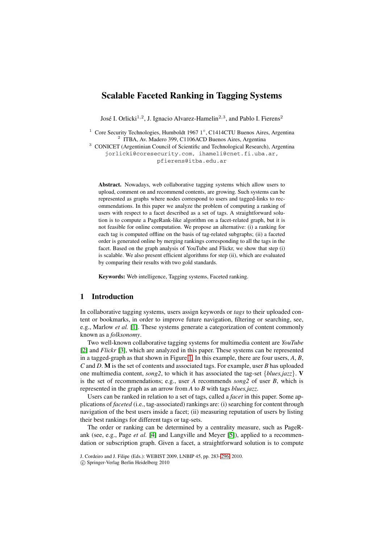# **Scalable Faceted Ranking in Tagging Systems**

José I. Orlicki<sup>1,2</sup>, J. Ignacio Alvarez-Hamelin<sup>2,3</sup>, and Pablo I. Fierens<sup>2</sup>

<sup>1</sup> Core Security Technologies, Humboldt 1967 1◦, C1414CTU Buenos Aires, Argentina <sup>2</sup> ITBA, Av. Madero 399, C1106ACD Buenos Aires, Argentina

<sup>3</sup> CONICET (Argentinian Council of Scientific and Technological Research), Argentina jorlicki@coresecurity.com, ihameli@cnet.fi.uba.ar, pfierens@itba.edu.ar

**Abstract.** Nowadays, web collaborative tagging systems which allow users to upload, comment on and recommend contents, are growing. Such systems can be represented as graphs where nodes correspond to users and tagged-links to recommendations. In this paper we analyze the problem of computing a ranking of users with respect to a facet described as a set of tags. A straightforward solution is to compute a PageRank-like algorithm on a facet-related graph, but it is not feasible for online computation. We propose an alternative: (i) a ranking for each tag is computed offline on the basis of tag-related subgraphs; (ii) a faceted order is generated online by merging rankings corresponding to all the tags in the facet. Based on the graph analysis of YouTube and Flickr, we show that step (i) is scalable. We also present efficient algorithms for step (ii), which are evaluated by comparing their results with two gold standards.

**Keywords:** Web intelligence, Tagging systems, Faceted ranking.

# **1 Introduction**

In collaborative tagging systems, users assign keywords or *tags* to their uploaded content or bookmarks, in order to improve future navigation, filtering or searching, see, e.g., Marlow *et al.* [1]. These systems generate a categorization of content commonly known as a *folksonomy*.

Two well-known collaborative tagging systems for multimedia content are *YouTube* [2] and *Flickr* [3], which are analyzed in this paper. These systems can be represented in a tagged-graph a[s th](#page-12-0)at shown in Figure 1. In this example, there are four users, *A*, *B*, *C* and *D*. **M** is the set of contents and associated tags. For example, user *B* has uploaded one multimedia content, *song2*, to which it has associated the tag-set {*blues,jazz*}. **V** [is](#page-12-1) the set of r[eco](#page-12-2)mmendations; e.g., user *A* recommends *song2* of user *B*, which is represented in the graph as an arrow from *[A](#page-1-0)* to *B* with tags *blues,jazz*.

Users can be ranked in relation to a set of tags, called a *facet* in this paper. Some applications of *faceted* (i.e., tag-associated) rankings are: (i) searching for content through navigation of the best users inside a facet; (ii) measuring reputation of users by listing their best rankings for different tags or tag-sets.

The order or ranking can be determined by a centrality measure, such as PageRank (see, e.g., Page *et al.* [4] and Langville and Meyer [5]), applied to a recommendation or subscription graph. Given a facet, a straightforward solution is to compute

J. Cordeiro and J. Filipe (Eds.): WEBIST 2009, LNBIP 45, pp. 283–296, 2010. -c Springer-Verlag Berlin Heidel[ber](#page-12-3)g 2010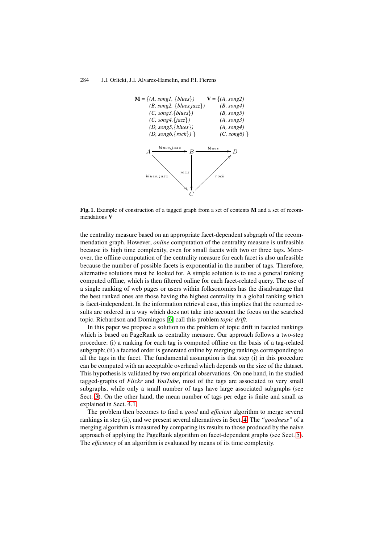

**Fig. 1.** Example of construction of a tagged graph from a set of contents **M** and a set of recommendations **V**

<span id="page-1-0"></span>the centrality measure based on an appropriate facet-dependent subgraph of the recommendation graph. However, *online* computation of the centrality measure is unfeasible because its high time complexity, even for small facets with two or three tags. Moreover, the offline computation of the centrality measure for each facet is also unfeasible because the number of possible facets is exponential in the number of tags. Therefore, alternative solutions must be looked for. A simple solution is to use a general ranking computed offline, which is then filtered online for each facet-related query. The use of a single ranking of web pages or users within folksonomies has the disadvantage that the best ranked ones are those having the highest centrality in a global ranking which is facet-independent. In the information retrieval case, this implies that the returned results are ordered in a way which does not take into account the focus on the searched topic. Richardson and Domingos [6] call this problem *topic drift*.

In this paper we propose a solution to the problem of topic drift in faceted rankings which is based on PageRank as centrality measure. Our approach follows a two-step procedure: (i) a ranking for each tag is computed offline on the basis of a tag-related subgraph; (ii) a faceted order is ge[ne](#page-12-4)rated online by merging rankings corresponding to all the tags in the facet. The fundamental assumption is that step (i) in this procedure can be computed with an acceptable overhead which depends on the size of the dataset. This hypothesis is validated by two empirical observations. On one hand, in the studied tagged-graphs of *Flickr* and *YouTube*, most of the tags are associated to very small subgraphs, while only a small number of tags have large associated subgraphs (see Sect. 3). On the other hand, the mean number of tags per edge is finite and small as explained in Sect. 4.1.

The problem then becomes to find a *good* and *efficient* algorithm to merge several rankings in step (ii), and we present several alternatives in Sect. 4. The *"goodness"* of a merg[ing](#page-3-0) algorithm is measured by comparing its results to those produced by the naive approach of apply[ing](#page-8-0) the PageRank algorithm on facet-dependent graphs (see Sect. 5). The *efficiency* of an algorithm is evaluated by means of its time complexity.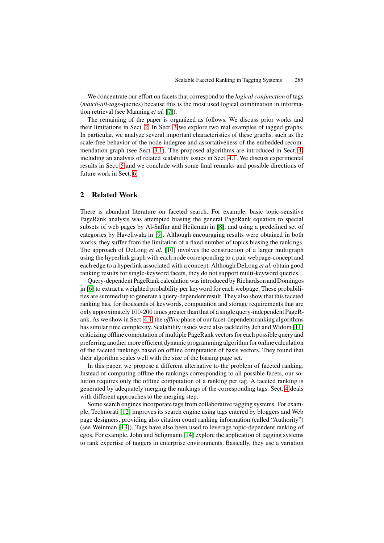We concentrate our effort on facets that correspond to the *logical conjunction* of tags (*match-all-tags*-queries) because this is the most used logical combination in information retrieval (see Manning *et al.* [7]).

The remaining of the paper is organized as follows. We discuss prior works and their limitations in Sect. 2. In Sect. 3 we explore two real examples of tagged graphs. In particular, we analyze several important characteristics of these graphs, such as the scale-free behavior of the node i[nd](#page-13-0)egree and assortativeness of the embedded recommendation graph (see Sect. 3.1). The proposed algorithms are introduced in Sect. 4, including an analysis of [rel](#page-2-0)ated scal[ab](#page-3-0)ility issues in Sect. 4.1. We discuss experimental results in Sect. 5 and we conclude with some final remarks and possible directions of future work in Sect. 6.

#### **2 Related [W](#page-9-0)ork**

<span id="page-2-0"></span>There is abundant [lit](#page-12-5)erature on faceted search. For example, basic topic-sensitive PageRank analysis was attempted biasing the general PageRank equation to special subsets of web pages by Al-Saffar and Heileman in [8], and using a predefined set of categories by Haveliwala in [9]. Although encouraging results were obtained in both works, they suffer from the limitation of a fixed number of topics biasing the rankings. The approach of DeLong *et al.* [10] involves the construction of a larger multigraph using the hyperlink graph with each node correspondi[ng](#page-13-1) to a pair webpage-concept and each edge to a hyperlink asso[cia](#page-13-2)ted with a concept. Although DeLong *et al.* obtain good ranking results for single-keyword facets, they do not support multi-keyword queries.

Query-dependent PageRank ca[lcul](#page-13-3)ation was introduced by Richardson and Domingos in [6] to extract a weighted probability per keyword for each webpage. These probabilities are summed up to generate a query-dependentresult. They also show that this faceted ranking has, for thousands of keywords, computation and storage requirements that are only approximately 100-200 times greater than that of a single query-independent PageRan[k. A](#page-12-4)s we show in Sect. 4.1, the *offline* phase of our facet-dependent ranking algorithms has similar time complexity. Scalability issues were also tackled by Jeh and Widom [11] criticizing offline computation of multiple PageRank vectors for each possible query and preferring another more efficient dynamic programming algorithm for online calculation of the faceted rankings [base](#page-8-0)d on offline computation of basis vectors. They found that their algorithm scales well with the size of the biasing page set.

In this paper, we propose a different alternative to the problem of faceted ranking. Instead of computing offline the rankings corresponding to all possible facets, our solution requires only the offline computation of a ranking per tag. A faceted ranking is generated by adequately merging the rankings of the corresponding tags. Sect. 4 deals with different approaches to the merging step.

Some search engines incorporate tags from collaborative tagging systems. For example, Technorati [12] improves its search engine using tags entered by bloggers and Web page designers, providing also citation count ranking information (called "Aut[ho](#page-6-0)rity") (see Weinman [13]). Tags have also been used to leverage topic-dependent ranking of egos. For example, John and Seligmann [14] explore the application of tagging systems to rank expertis[e of](#page-13-4) taggers in enterprise environments. Basically, they use a variation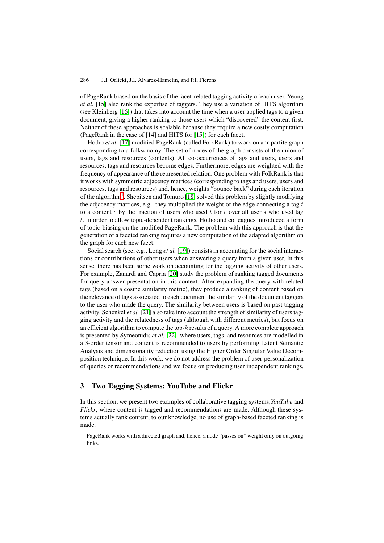#### 286 J.I. Orlicki, J.I. Alvarez-Hamelin, and P.I. Fierens

of PageRank biased on the basis of the facet-related tagging activity of each user. Yeung *et al.* [15] also rank the expertise of taggers. They use a variation of HITS algorithm (see Kleinberg [16]) that takes into account the time when a user applied tags to a given document, giving a higher ranking to those users which "discovered" the content first. Neither of these approaches is scalable because they require a new costly computation (Page[Ran](#page-13-5)k in the case of [14] and HITS for [15]) for each facet.

Hotho *et al.* [\[17\]](#page-13-6) modified PageRank (called FolkRank) to work on a tripartite graph corresponding to a folksonomy. The set of nodes of the graph consists of the union of users, tags and resources (contents). All co-occurrences of tags and users, users and resources, tags and resour[ces](#page-13-7) become edges. [Fur](#page-13-5)thermore, edges are weighted with the frequency of ap[pea](#page-13-8)rance of the represented relation. One problem with FolkRank is that it works with symmetric adjacency matrices (corresponding to tags and users, users and resources, tags and resources) and, hence, weights "bounce back" during each iteration of the algorithm<sup>1</sup>. Shepitsen and Tomuro [18] solved this problem by slightly modifying the adjacency matrices, e.g., they multiplied the weight of the edge connecting a tag  $t$ to a content  $c$  by the fraction of users who used  $t$  for  $c$  over all user s who used tag t. In order to allow topic-dependent rankings, Hotho and colleagues introduced a form of topic-biasin[g o](#page-3-1)n the modified PageRa[nk. T](#page-13-9)he problem with this approach is that the generation of a faceted ranking requires a new computation of the adapted algorithm on the graph for each new facet.

Social search (see, e.g., Long *et al.* [19]) consists in accounting for the social interactions or contributions of other users when answering a query from a given user. In this sense, there has been some work on accounting for the tagging activity of other users. For example, Zanardi and Capria [20] study the problem of ranking tagged documents for query answer presentation in this [con](#page-13-10)text. After expanding the query with related tags (based on a cosine similarity metric), they produce a ranking of content based on the relevance of tags associated to each document the similarity of the document taggers to the user who made the query. T[he s](#page-13-11)imilarity between users is based on past tagging activity. Schenkel *et al.* [21] also take into account the strength of similarity of users tagging activity and the relatedness of tags (although with different metrics), but focus on an efficient algorithm to compute the top- $k$  results of a query. A more complete approach is presented by Symeonidis *et al.* [22], where users, tags, and resources are modelled in a 3-order tensor and co[nten](#page-13-12)t is recommended to users by performing Latent Semantic Analysis and dimensionality reduction using the Higher Order Singular Value Decomposition technique. In this work, we do not address the problem of user-personalization of queries or recommendations a[nd w](#page-13-13)e focus on producing user independent rankings.

### **3 Two Tagging Systems: YouTube and Flickr**

<span id="page-3-0"></span>In this section, we present two examples of collaborative tagging systems,*YouTube* and *Flickr*, where content is tagged and recommendations are made. Although these systems actually rank content, to our knowledge, no use of graph-based faceted ranking is made.

<span id="page-3-1"></span><sup>&</sup>lt;sup>1</sup> PageRank works with a directed graph and, hence, a node "passes on" weight only on outgoing links.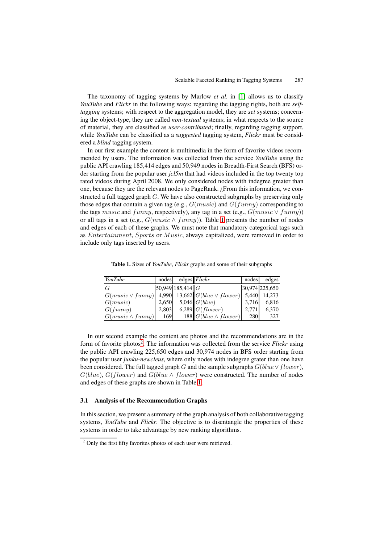The taxonomy of tagging systems by Marlow *et al.* in [1] allows us to classify *YouTube* and *Flickr* in the following ways: regarding the tagging rights, both are *selftagging* systems; with respect to the aggregation model, they are *set* systems; concerning the object-type, they are called *non-textual* systems; in what respects to the source of material, they are classified as *user-contributed*; finally, r[ega](#page-12-0)rding tagging support, while *YouTube* can be classified as a *suggested* tagging system, *Flickr* must be considered a *blind* tagging system.

In our first example the content is multimedia in the form of favorite videos recommended by users. The information was collected from the service *YouTube* using the public API crawling 185,414 edges and 50,949 nodes in Breadth-First Search (BFS) order starting from the popular user *jcl5m* that had videos included in the top twenty top rated videos during April 2008. We only considered nodes with indegree greater than one, because they are the relevant nodes to PageRank. ¿From this information, we constructed a full tagged graph  $G$ . We have also constructed subgraphs by preserving only those edges that contain a given tag (e.g.,  $G(music)$  and  $G(funny)$  corresponding to the tags music and funny, respectively), any tag in a set (e.g.,  $G(music \vee funny)$ ) or all tags in a set (e.g.,  $G(music \wedge funny)$ ). Table 1 presents the number of nodes and edges of each of these graphs. We must note that mandatory categorical tags such as *Entertainment, Sports* or *Music*, always capitalized, were removed in order to include only tags inserted by users.

**Table 1.** Sizes of *YouTube*, *Flickr* graphs and some of their subgraphs

<span id="page-4-1"></span>

| YouTube                 | nodes |                  | edges Flickr                           | nodes | edges          |
|-------------------------|-------|------------------|----------------------------------------|-------|----------------|
| G                       |       | 50,949 185,414 G |                                        |       | 30,974 225,650 |
| $G(music \vee funny)$   |       |                  | 4,990 $13,662$ $ G(blue \vee flower) $ | 5,440 | 14,273         |
| G(music)                | 2,650 |                  | 5,046 $G(blue)$                        | 3,716 | 6,816          |
| G(funny)                | 2,803 |                  | $6,289$ $G(flower)$                    | 2,771 | 6,370          |
| $G(music \wedge funny)$ | 169   |                  | 188 $G(blue \wedge flower)$            | 280   | 327            |

In our second example the content are photos and the recommendations are in the form of favorite photos<sup>2</sup>. The information was collected from the service *Flickr* using the public API crawling 225,650 edges and 30,974 nodes in BFS order starting from the popular user *junku-newcleus*, where only nodes with indegree grater than one have been considered. The full tagged graph G and the sample subgraphs  $G(blue \vee flower)$ ,  $G(blue)$ ,  $G(floatver)$  [an](#page-4-0)d  $G(blue \wedge flower)$  were constructed. The number of nodes and edges of these graphs are shown in Table 1.

#### **3.1 Analysis of the Recommendation Graphs**

In this section, we present a summary of the g[rap](#page-4-1)h analysis of both collaborative tagging systems, *YouTube* and *Flickr*. The objective is to disentangle the properties of these systems in order to take advantage by new ranking algorithms.

<span id="page-4-0"></span><sup>&</sup>lt;sup>2</sup> Only the first fifty favorites photos of each user were retrieved.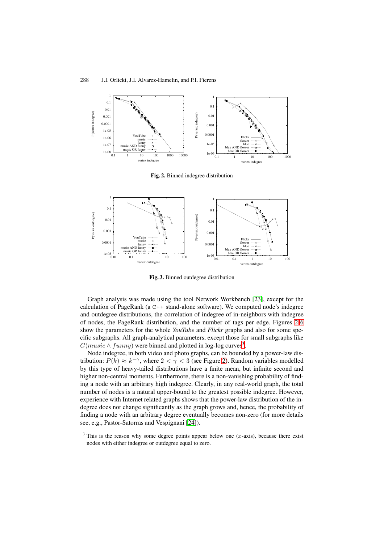

<span id="page-5-0"></span>**Fig. 2.** Binned indegree distribution



<span id="page-5-2"></span>**Fig. 3.** Binned outdegree distribution

Graph analysis was made using the tool Network Workbench [23], except for the calculation of PageRank (a C++ stand-alone software). We computed node's indegree and outdegree distributions, the correlation of indegree of in-neighbors with indegree of nodes, the PageRank distribution, and the number of tags per edge. Figures 2-6 show the parameters for the whole *YouTube* and *Flickr* graphs and [als](#page-13-14)o for some specific subgraphs. All graph-analytical parameters, except those for small subgraphs like  $G(music \wedge funny)$  were binned and plotted in log-log curves<sup>3</sup>.

Node indegree, in both video and photo graphs, can be bounded by a power-law [di](#page-5-0)[s](#page-7-0)tribution:  $P(k) \approx k^{-\gamma}$ , where  $2 < \gamma < 3$  (see Figure 2). Random variables modelled by this type of heavy-tailed distributions have a finite mean, but infinite second and higher non-central moments. Furthermore, there is a non-vani[sh](#page-5-1)ing probability of finding a node with an arbitrary high indegree. Clearly, in any real-world graph, the total number of nodes is a natural upper-bound to the great[es](#page-5-0)t possible indegree. However, experience with Internet related graphs shows that the power-law distribution of the indegree does not change significantly as the graph grows and, hence, the probability of finding a node with an arbitrary degree eventually becomes non-zero (for more details see, e.g., Pastor-Satorras and Vespignani [24]).

<span id="page-5-1"></span><sup>3</sup> This is the reason why some degree points appear below one (*x*-axis), because there exist nodes with either indegree or outdegree equal to zero.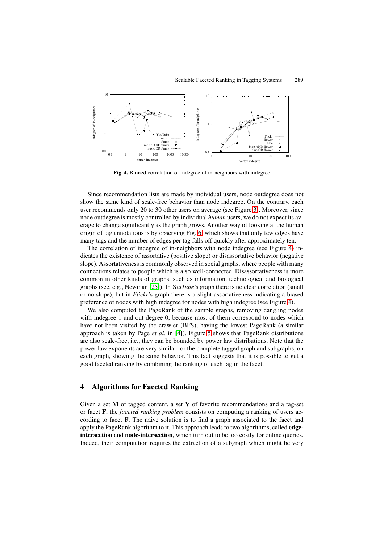

<span id="page-6-1"></span>**Fig. 4.** Binned correlation of indegree of in-neighbors with indegree

Since recommendation lists are made by individual users, node outdegree does not show the same kind of scale-free behavior than node indegree. On the contrary, each user recommends only 20 to 30 other users on average (see Figure 3). Moreover, since node outdegree is mostly controlled by individual *human* users, we do not expect its average to change significantly as the graph grows. Another way of looking at the human origin of tag annotations is by observing Fig. 6, which shows that only few edges have many tags and the number of edges per tag falls off quickly after a[pp](#page-5-2)roximately ten.

The correlation of indegree of in-neighbors with node indegree (see Figure 4) indicates the existence of assortative (positive slope) or disassortative behavior (negative slope). Assortativeness is commonly observe[d in](#page-7-0) social graphs, where people with many connections relates to people which is also well-connected. Disassortativeness is more common in other kinds of graphs, such as information, technological and biol[og](#page-6-1)ical graphs (see, e.g., Newman [25]). In *YouTube*'s graph there is no clear correlation (small or no slope), but in *Flickr*'s graph there is a slight assortativeness indicating a biased preference of nodes with high indegree for nodes with high indegree (see Figure 4).

We also computed the PageRank of the sample graphs, removing dangling nodes with indegree 1 and out d[egre](#page-13-15)e 0, because most of them correspond to nodes which have not been visited by the crawler (BFS), having the lowest PageRank (a similar approach is taken by Page *et al.* in [4]). Figure 5 shows that PageRank distri[but](#page-6-1)ions are also scale-free, i.e., they can be bounded by power law distributions. Note that the power law exponents are very similar for the complete tagged graph and subgraphs, on each graph, showing the same behavior. This fact suggests that it is possible to get a good faceted ranking by combining t[he](#page-12-3) ranking o[f e](#page-7-1)ach tag in the facet.

### **4 Algorithms for Faceted Ranking**

<span id="page-6-0"></span>Given a set **M** of tagged content, a set **V** of favorite recommendations and a tag-set or facet **F**, the *faceted ranking problem* consists on computing a ranking of users according to facet **F**. The naive solution is to find a graph associated to the facet and apply the PageRank algorithm to it. This approach leads to two algorithms, called **edgeintersection** and **node-intersection**, which turn out to be too costly for online queries. Indeed, their computation requires the extraction of a subgraph which might be very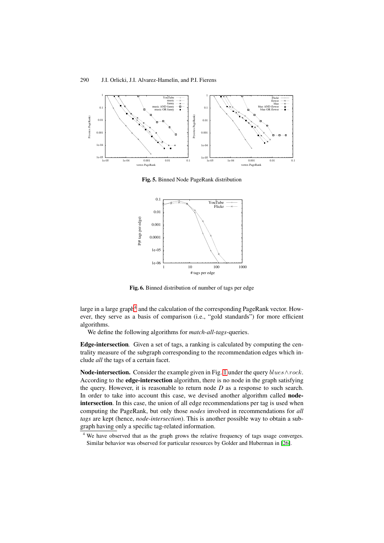

**Fig. 5.** Binned Node PageRank distribution

<span id="page-7-1"></span>

<span id="page-7-0"></span>**Fig. 6.** Binned distribution of number of tags per edge

large in a large graph<sup>4</sup> and the calculation of the corresponding PageRank vector. However, they serve as a basis of comparison (i.e., "gold standards") for more efficient algorithms.

We define the following algorithms for *match-all-tags*-queries.

**Edge-intersection***.* [G](#page-7-2)iven a set of tags, a ranking is calculated by computing the centrality measure of the subgraph corresponding to the recommendation edges which include *all* the tags of a certain facet.

Node-intersection. Consider the example given in Fig. 1 under the query *blues* ∧rock. According to the **edge-intersection** algorithm, there is no node in the graph satisfying the query. However, it is reasonable to return node *D* as a response to such search. In order to take into account this case, we devised another algorithm called **nodeintersection**. In this case, the union of all edge recom[men](#page-1-0)dations per tag is used when computing the PageRank, but only those *nodes* involved in recommendations for *all tags* are kept (hence, *node-intersection*). This is another possible way to obtain a subgraph having only a specific tag-related information.

<span id="page-7-2"></span><sup>&</sup>lt;sup>4</sup> We have observed that as the graph grows the relative frequency of tags usage converges. Similar behavior was observed for particular resources by Golder and Huberman in [26].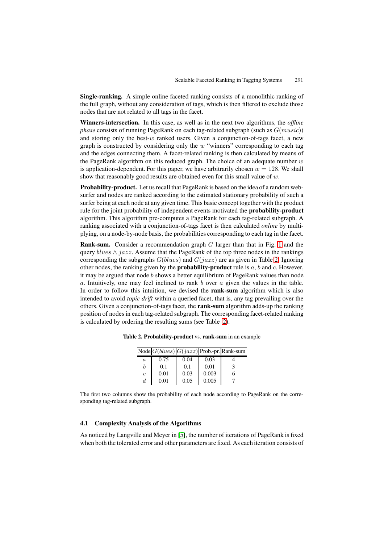**Single-ranking.** A simple online faceted ranking consists of a monolithic ranking of the full graph, without any consideration of tags, which is then filtered to exclude those nodes that are not related to all tags in the facet.

**Winners-intersection.** In this case, as well as in the next two algorithms, the *offline phase* consists of running PageRank on each tag-related subgraph (such as <sup>G</sup>(music)) and storing only the best- $w$  ranked users. Given a conjunction-of-tags facet, a new graph is constructed by considering only the  $w$  "winners" corresponding to each tag and the edges connecting them. A facet-related ranking is then calculated by means of the PageRank algorithm on this reduced graph. The choice of an adequate number  $w$ is application-dependent. For this paper, we have arbitrarily chosen  $w = 128$ . We shall show that reasonably good results are obtained even for this small value of  $w$ .

**Probability-product.** Let us recall that PageRank is based on the idea of a random websurfer and nodes are ranked according to the estimated stationary probability of such a surfer being at each node at any given time. This basic concept together with the product rule for the joint probability of independent events motivated the **probability-product** algorithm. This algorithm pre-computes a PageRank for each tag-related subgraph. A ranking associated with a conjunction-of-tags facet is then calculated *online* by multiplying, on a node-by-node basis, the probabilities corresponding to each tag in the facet.

**Rank-sum.** Consider a recommendation graph G larger than that in Fig. 1 and the query  $blues \wedge jazz$ . Assume that the PageRank of the top three nodes in the rankings corresponding the subgraphs  $G(blues)$  and  $G(jazz)$  are as given in Table 2. Ignoring other nodes, the ranking given by the **probability-product** rule is a, b and c. However, it may be argued [th](#page-1-0)at node  $b$  shows a better equilibrium of PageRank values than node a. Intuitively, one may feel inclined to rank  $b$  over  $a$  given the values in the table. In order to follow this intuition, we devised the **rank-sum** algorithm w[hic](#page-8-1)h is also intended to avoid *topic drift* within a queried facet, that is, any tag prevailing over the others. Given a conjunction-of-tags facet, the **rank-sum** algorithm adds-up the ranking position of nodes in each tag-related subgraph. The corresponding facet-related ranking is calculated by ordering the resulting sums (see Table 2).

<span id="page-8-1"></span>

|                  |      |      |       | Node $G(blues)$ $G(jazz)$ Prob.-pr. Rank-sum |
|------------------|------|------|-------|----------------------------------------------|
| $\boldsymbol{a}$ | 0.75 | 0.04 | 0.03  |                                              |
| b                | 0.1  | 0.1  | 0.01  |                                              |
| $\epsilon$       | 0.01 | 0.03 | 0.003 | 6                                            |
| d.               | 0.01 | 0.05 | 0.005 |                                              |

**Table 2. Probability-product** vs. **rank-sum** in an example

The first two columns show the probability of each node according to PageRank on the corresponding tag-related subgraph.

#### **4.1 Complexity Analysis of the Algorithms**

<span id="page-8-0"></span>As noticed by Langville and Meyer in [5], the number of iterations of PageRank is fixed when both the tolerated error and other parameters are fixed. As each iteration consists of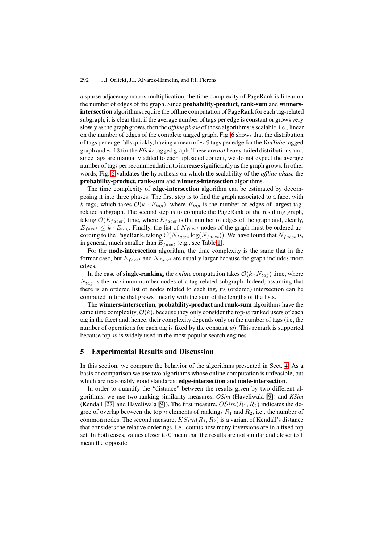#### 292 J.I. Orlicki, J.I. Alvarez-Hamelin, and P.I. Fierens

a sparse adjacency matrix multiplication, the time complexity of PageRank is linear on the number of edges of the graph. Since **probability-product**, **rank-sum** and **winnersintersection** algorithms require the offline computation of PageRank for each tag-related subgraph, it is clear that, if the average number of tags per edge is constant or grows very slowly as the graph grows, then the *offline phase* of these algorithms is scalable, i.e., linear on the number of edges of the complete tagged graph. Fig. 6 shows that the distribution of tags per edge falls quickly, having a mean of <sup>∼</sup> 9 tags per edge for the *YouTube* tagged graph and <sup>∼</sup> 13 for the *Flickr*tagged graph. These are *not* heavy-tailed distributions and, since tags are manually added to each uploaded content, we do not expect the average number of tags per recommendation to increase significantl[y a](#page-7-0)s the graph grows. In other words, Fig. 6 validates the hypothesis on which the scalability of the *offline phase* the **probability-product**, **rank-sum** and **winners-intersection** algorithms.

The time complexity of **edge-intersection** algorithm can be estimated by decomposing it into three phases. The first step is to find the graph associated to a facet with k tags, whi[ch](#page-7-0) takes  $\mathcal{O}(k \cdot E_{tag})$ , where  $E_{tag}$  is the number of edges of largest tagrelated subgraph. The second step is to compute the PageRank of the resulting graph, taking  $\mathcal{O}(E_{face})$  time, where  $E_{face}$  is the number of edges of the graph and, clearly,  $E_{\text{facet}} \leq k \cdot E_{\text{tag}}$ . Finally, the list of  $N_{\text{facet}}$  nodes of the graph must be ordered according to the PageRank, taking  $\mathcal{O}(N_{face} \log(N_{face}))$ . We have found that  $N_{face}$  is, in general, much smaller than  $E_{facet}$  (e.g., see Table 1).

For the **node-intersection** algorithm, the time complexity is the same that in the former case, but  $E_{facet}$  and  $N_{facet}$  are usually larger because the graph includes more edges.

In the case of **single-ranking**, the *online* computa[tio](#page-4-1)n takes  $O(k \cdot N_{tag})$  time, where  $N_{taq}$  is the maximum number nodes of a tag-related subgraph. Indeed, assuming that there is an ordered list of nodes related to each tag, its (ordered) intersection can be computed in time that grows linearly with the sum of the lengths of the lists.

The **winners-intersection**, **probability-product** and **rank-sum** algorithms have the same time complexity,  $\mathcal{O}(k)$ , because they only consider the top-w ranked users of each tag in the facet and, hence, their complexity depends only on the number of tags (i.e, the number of operations for each tag is fixed by the constant  $w$ ). This remark is supported because top- $w$  is widely used in the most popular search engines.

#### **5 Experimental Results and Discussion**

<span id="page-9-0"></span>In this section, we compare the behavior of the algorithms presented in Sect. 4. As a basis of comparison we use two algorithms whose online computation is unfeasible, but which are reasonably good standards: **edge-intersection** and **node-intersection**.

In order to quantify the "distance" between the results given by two different algorithms, we use two ranking similarity measures, *OSim* (Haveliwala [9]) a[nd](#page-6-0) *KSim* (Kendall [27] and Haveliwala [9]). The first measure,  $OSim(R_1, R_2)$  indicates the degree of overlap between the top n elements of rankings  $R_1$  and  $R_2$ , i.e., the number of common nodes. The second measure,  $KSim(R_1, R_2)$  is a variant of Kendall's distance that considers the relative orderings, i.e., counts how many inversions ar[e in](#page-13-2) a fixed top set. In bot[h ca](#page-13-16)ses, values close[r to](#page-13-2) 0 mean that the results are not similar and closer to 1 mean the opposite.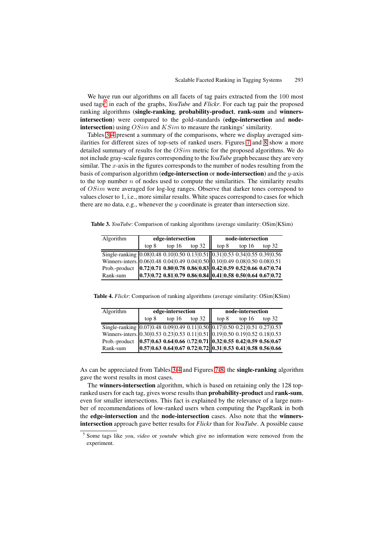We have run our algorithms on all facets of tag pairs extracted from the 100 most used tags<sup>5</sup> in each of the graphs, *YouTube* and *Flickr*. For each tag pair the proposed ranking algorithms (**single-ranking**, **probability-product**, **rank-sum** and **winnersintersection**) were compared to the gold-standards (**edge-intersection** and **nodeintersection**) using *OSim* and *KSim* to measure the rankings' similarity.

Table[s 3](#page-10-0)-4 present a summary of the comparisons, where we display averaged similarities for different sizes of top-sets of ranked users. Figures 7 and 8 show a more detailed summary of results for the  $OSim$  metric for the proposed algorithms. We do not include gray-scale figures corresponding to the *YouTube* graph because they are very similar. T[he](#page-10-1)  $x$ -axis in the figures corresponds to the number of nodes resulting from the basis of comparison algorithm (**edge-intersection** or **node-inter[sec](#page-11-0)tion**[\) a](#page-11-1)nd the y-axis to the top number  $n$  of nodes used to compute the similarities. The similarity results of OSim were averaged for log-log ranges. Observe that darker tones correspond to values closer to 1, i.e., more similar results. White spaces correspond to cases for which there are no data, e.g., whenever the  $y$  coordinate is greater than intersection size.

**Table 3.** *YouTube*: Comparison of ranking algorithms (average similarity: OSim|KSim)

<span id="page-10-1"></span>

| Algorithm                                                                   | edge-intersection |        |                                                                                 | node-intersection |        |        |
|-----------------------------------------------------------------------------|-------------------|--------|---------------------------------------------------------------------------------|-------------------|--------|--------|
|                                                                             | top 8             | top 16 | top 32                                                                          | top 8             | top 16 | top 32 |
| Single-ranking 0.08 0.48 0.10 0.50 0.13 0.51 0.31 0.53 0.34 0.55 0.39 0.56  |                   |        |                                                                                 |                   |        |        |
| Winners-inters. 0.06 0.48 0.04 0.49 0.04 0.50 0.10 0.49 0.08 0.50 0.08 0.51 |                   |        |                                                                                 |                   |        |        |
| Prob.-product                                                               |                   |        | $[0.72]0.71$ 0.80 $[0.78$ 0.86 $[0.83]$ $[0.42]0.59$ 0.52 $[0.66$ 0.67 $[0.74]$ |                   |        |        |
| Rank-sum                                                                    |                   |        | $[0.73]0.72$ $0.81]0.79$ $0.86]0.84$ $[0.41]0.58$ $0.50]0.64$ $0.67]0.72$       |                   |        |        |

**Table 4.** *Flickr*: Comparison of ranking algorithms (average similarity: OSim|KSim)

<span id="page-10-2"></span>

| Algorithm                                                                   | edge-intersection |                                                                                                                                                         |        | node-intersection |        |        |
|-----------------------------------------------------------------------------|-------------------|---------------------------------------------------------------------------------------------------------------------------------------------------------|--------|-------------------|--------|--------|
|                                                                             | top 8             | top 16                                                                                                                                                  | top 32 | top 8             | top 16 | top 32 |
| Single-ranking 0.07 0.48 0.09 0.49 0.11 0.50 0.17 0.50 0.21 0.51 0.27 0.53  |                   |                                                                                                                                                         |        |                   |        |        |
| Winners-inters. 0.30 0.53 0.23 0.53 0.11 0.51 0.19 0.50 0.19 0.52 0.18 0.53 |                   |                                                                                                                                                         |        |                   |        |        |
| Prob.-product                                                               |                   | $[0.57]0.63$ 0.64 $[0.66$ 0.72 $[0.71]$ $[0.32]0.55$ 0.42 $[0.59$ 0.56 $[0.67]$                                                                         |        |                   |        |        |
| Rank-sum                                                                    |                   | $\left  0.57 \right  0.63 \left  0.64 \right  0.67 \left  0.72 \right  0.72 \left  0.31 \right  0.53 \left  0.41 \right  0.58 \left  0.56 \right  0.66$ |        |                   |        |        |

As can be appreciated from Tables 3-4 and Figures 7-8, the **single-ranking** algorithm gave the worst results in most cases.

The **winners-intersection** algorithm, which is based on retaining only the 128 topranked users for each tag, gives worse results than **probability-product** and **rank-sum**, even for smaller intersections. Thi[s f](#page-10-1)[ac](#page-10-2)t is explaine[d](#page-11-0) [by](#page-11-1) the relevance of a large number of recommendations of low-ranked users when computing the PageRank in both the **edge-intersection** and the **node-intersection** cases. Also note that the **winnersintersection** approach gave better results for *Flickr* than for *YouTube*. A possible cause

<span id="page-10-0"></span><sup>5</sup> Some tags like *you*, *video* or *youtube* which give no information were removed from the experiment.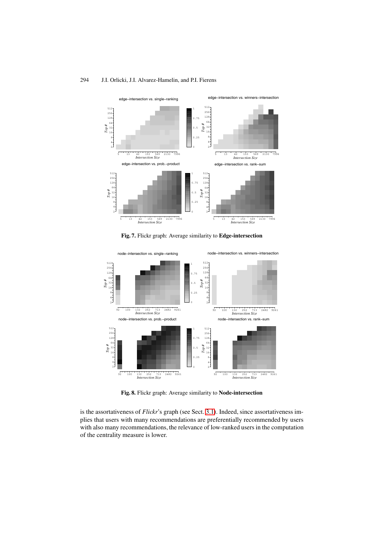

<span id="page-11-0"></span>**Fig. 7.** Flickr graph: Average similarity to **Edge-intersection**



<span id="page-11-1"></span>**Fig. 8.** Flickr graph: Average similarity to **Node-intersection**

is the assortativeness of *Flickr*'s graph (see Sect. 3.1). Indeed, since assortativeness implies that users with many recommendations are preferentially recommended by users with also many recommendations, the relevance of low-ranked users in the computation of the centrality measure is lower.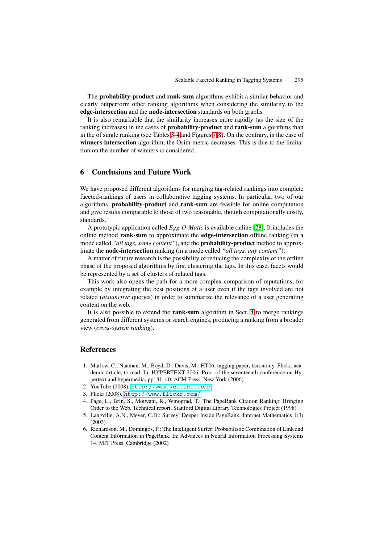The **probability-product** and **rank-sum** algorithms exhibit a similar behavior and clearly outperform other ranking algorithms when considering the similarity to the **edge-intersection** and the **node-intersection** standards on both graphs.

It is also remarkable that the similarity increases more rapidly (as the size of the ranking increases) in the cases of **probability-product** and **rank-sum** algorithms than in the of single ranking (see Tables 3-4 and Figures 7-8). On the contrary, in the case of **winners-intersection** algorithm, the Osim metric decreases. This is due to the limitation on the number of winners  $w$  considered.

## **6 Conclusions and Futur[e](#page-10-1) [Wo](#page-10-2)rk**

<span id="page-12-5"></span>We have proposed different algorithms for merging tag-related rankings into complete faceted-rankings of users in collaborative tagging systems. In particular, two of our algorithms, **probability-product** and **rank-sum** are feasible for online computation and give results comparable to those of two reasonable, though computationally costly, standards.

A prototypic application called *Egg-O-Matic* is available online [28]. It includes the online method **rank-sum** to approximate the **edge-intersection** offline ranking (in a mode called *"all tags, same content"*), and the **probability-product** method to approximate the **node-intersection** ranking (in a mode called *"all tags, any content"*).

A matter of future research is the possibility of reducing the com[plex](#page-13-17)ity of the offline phase of the proposed algorithms by first clustering the tags. In this case, facets would be represented by a set of clusters of related tags.

This work also opens the path for a more complex comparison of reputations, for example by integrating the best positions of a user even if the tags involved are not related (*disjunctive* queries) in order to summarize the relevance of a user generating content on the web.

It is also possible to extend the **rank-sum** algorithm in Sect. 4 to merge rankings generated from different systems or search engines, producing a ranking from a broader view (*cross-system ranking*).

#### **References**

- 1. Marlow, C., Naaman, M., Boyd, D., Davis, M.: HT06, tagging paper, taxonomy, Flickr, academic article, to read. In: HYPERTEXT 2006: Proc. of the seventeenth conference on Hypertext and hypermedia, pp. 31–40. ACM Press, New York (2006)
- 2. YouTube (2008), http://www.youtube.com/
- <span id="page-12-0"></span>3. Flickr (2008), http://www.flickr.com/
- 4. Page, L., Brin, S., Motwani, R., Winograd, T.: The PageRank Citation Ranking: Bringing Order to the Web. Technical report, Stanford Digital Library Technologies Project (1998)
- <span id="page-12-2"></span><span id="page-12-1"></span>5. Langville, A.N., [Meyer, C.D.: Survey: Deeper Inside](http://www.youtube.com/) PageRank. Internet Mathematics 1(3) (2003)
- <span id="page-12-4"></span><span id="page-12-3"></span>6. Richardson, [M.,](http://www.flickr.com/) [Domingos,](http://www.flickr.com/) [P.:](http://www.flickr.com/) [The](http://www.flickr.com/) [Intelligent](http://www.flickr.com/) [S](http://www.flickr.com/)urfer: Probabilistic Combination of Link and Content Information in PageRank. In: Advances in Neural Information Processing Systems 14. MIT Press, Cambridge (2002)